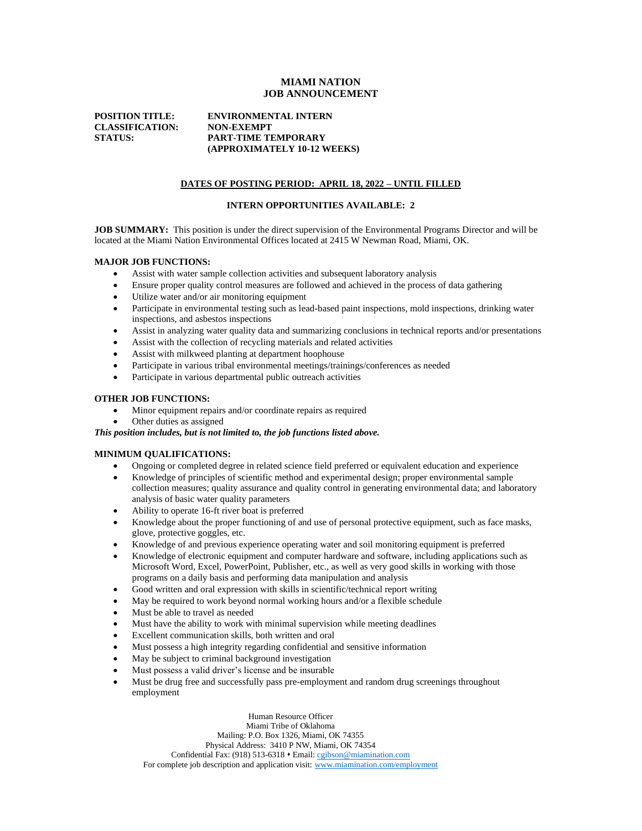## **MIAMI NATION JOB ANNOUNCEMENT**

**CLASSIFICATION: NON-EXEMPT** 

# **POSITION TITLE: ENVIRONMENTAL INTERN STATUS: PART-TIME TEMPORARY (APPROXIMATELY 10-12 WEEKS)**

## **DATES OF POSTING PERIOD: APRIL 18, 2022 – UNTIL FILLED**

#### **INTERN OPPORTUNITIES AVAILABLE: 2**

**JOB SUMMARY:** This position is under the direct supervision of the Environmental Programs Director and will be located at the Miami Nation Environmental Offices located at 2415 W Newman Road, Miami, OK.

#### **MAJOR JOB FUNCTIONS:**

- Assist with water sample collection activities and subsequent laboratory analysis
- Ensure proper quality control measures are followed and achieved in the process of data gathering
- Utilize water and/or air monitoring equipment
- Participate in environmental testing such as lead-based paint inspections, mold inspections, drinking water inspections, and asbestos inspections
- Assist in analyzing water quality data and summarizing conclusions in technical reports and/or presentations
- Assist with the collection of recycling materials and related activities
- Assist with milkweed planting at department hoophouse
- Participate in various tribal environmental meetings/trainings/conferences as needed
- Participate in various departmental public outreach activities

#### **OTHER JOB FUNCTIONS:**

- Minor equipment repairs and/or coordinate repairs as required
- Other duties as assigned

*This position includes, but is not limited to, the job functions listed above.*

#### **MINIMUM QUALIFICATIONS:**

- Ongoing or completed degree in related science field preferred or equivalent education and experience
- Knowledge of principles of scientific method and experimental design; proper environmental sample collection measures; quality assurance and quality control in generating environmental data; and laboratory analysis of basic water quality parameters
- Ability to operate 16-ft river boat is preferred
- Knowledge about the proper functioning of and use of personal protective equipment, such as face masks, glove, protective goggles, etc.
- Knowledge of and previous experience operating water and soil monitoring equipment is preferred
- Knowledge of electronic equipment and computer hardware and software, including applications such as Microsoft Word, Excel, PowerPoint, Publisher, etc., as well as very good skills in working with those programs on a daily basis and performing data manipulation and analysis
- Good written and oral expression with skills in scientific/technical report writing
- May be required to work beyond normal working hours and/or a flexible schedule
- Must be able to travel as needed
- Must have the ability to work with minimal supervision while meeting deadlines
- Excellent communication skills, both written and oral
- Must possess a high integrity regarding confidential and sensitive information
- May be subject to criminal background investigation
- Must possess a valid driver's license and be insurable
- Must be drug free and successfully pass pre-employment and random drug screenings throughout employment

Human Resource Officer Miami Tribe of Oklahoma Mailing: P.O. Box 1326, Miami, OK 74355 Physical Address: 3410 P NW, Miami, OK 74354 Confidential Fax: (918) 513-6318 • Email[: cgibson@miamination.com](mailto:cgibson@miamination.com) For complete job description and application visit: [www.miamination.com/employment](http://www.miamination.com/employment)